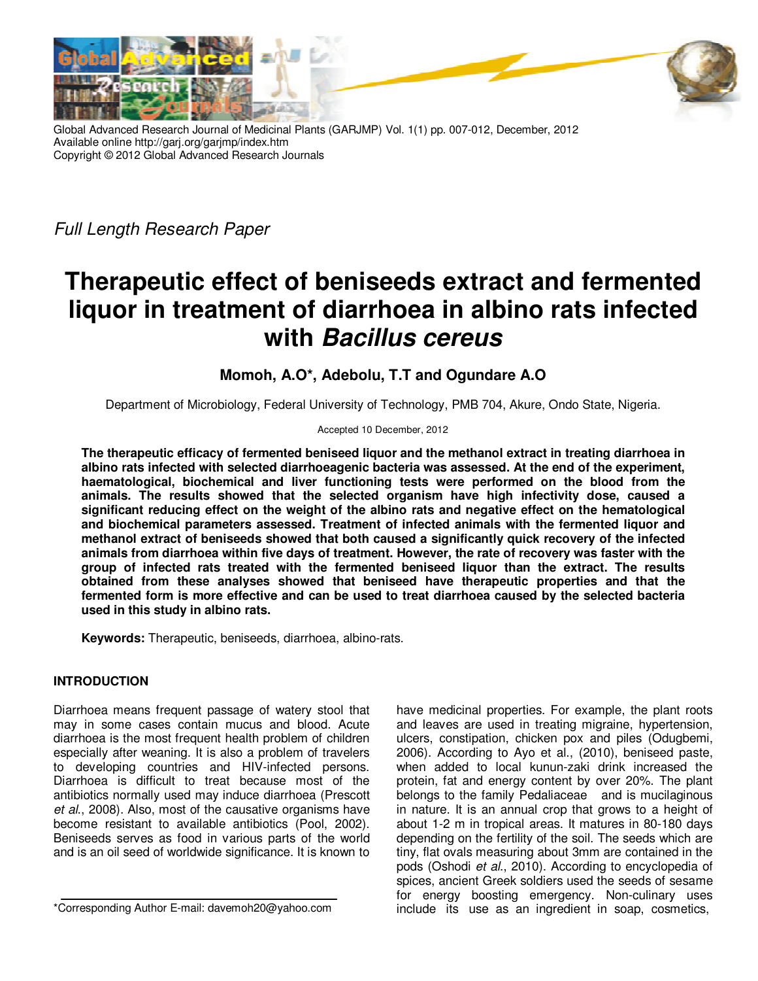

Global Advanced Research Journal of Medicinal Plants (GARJMP) Vol. 1(1) pp. 007-012, December, 2012 Available online http://garj.org/garjmp/index.htm Copyright © 2012 Global Advanced Research Journals

*Full Length Research Paper* 

# **Therapeutic effect of beniseeds extract and fermented liquor in treatment of diarrhoea in albino rats infected with Bacillus cereus**

## **Momoh, A.O\*, Adebolu, T.T and Ogundare A.O**

Department of Microbiology, Federal University of Technology, PMB 704, Akure, Ondo State, Nigeria.

#### Accepted 10 December, 2012

**The therapeutic efficacy of fermented beniseed liquor and the methanol extract in treating diarrhoea in albino rats infected with selected diarrhoeagenic bacteria was assessed. At the end of the experiment, haematological, biochemical and liver functioning tests were performed on the blood from the animals. The results showed that the selected organism have high infectivity dose, caused a significant reducing effect on the weight of the albino rats and negative effect on the hematological and biochemical parameters assessed. Treatment of infected animals with the fermented liquor and methanol extract of beniseeds showed that both caused a significantly quick recovery of the infected animals from diarrhoea within five days of treatment. However, the rate of recovery was faster with the group of infected rats treated with the fermented beniseed liquor than the extract. The results obtained from these analyses showed that beniseed have therapeutic properties and that the fermented form is more effective and can be used to treat diarrhoea caused by the selected bacteria used in this study in albino rats.** 

**Keywords:** Therapeutic, beniseeds, diarrhoea, albino-rats.

### **INTRODUCTION**

Diarrhoea means frequent passage of watery stool that may in some cases contain mucus and blood. Acute diarrhoea is the most frequent health problem of children especially after weaning. It is also a problem of travelers to developing countries and HIV-infected persons. Diarrhoea is difficult to treat because most of the antibiotics normally used may induce diarrhoea (Prescott *et al*., 2008). Also, most of the causative organisms have become resistant to available antibiotics (Pool, 2002). Beniseeds serves as food in various parts of the world and is an oil seed of worldwide significance. It is known to

have medicinal properties. For example, the plant roots and leaves are used in treating migraine, hypertension, ulcers, constipation, chicken pox and piles (Odugbemi, 2006). According to Ayo et al., (2010), beniseed paste, when added to local kunun-zaki drink increased the protein, fat and energy content by over 20%. The plant belongs to the family Pedaliaceae and is mucilaginous in nature. It is an annual crop that grows to a height of about 1-2 m in tropical areas. It matures in 80-180 days depending on the fertility of the soil. The seeds which are tiny, flat ovals measuring about 3mm are contained in the pods (Oshodi *et al*., 2010). According to encyclopedia of spices, ancient Greek soldiers used the seeds of sesame for energy boosting emergency. Non-culinary uses include its use as an ingredient in soap, cosmetics,

<sup>\*</sup>Corresponding Author E-mail: davemoh20@yahoo.com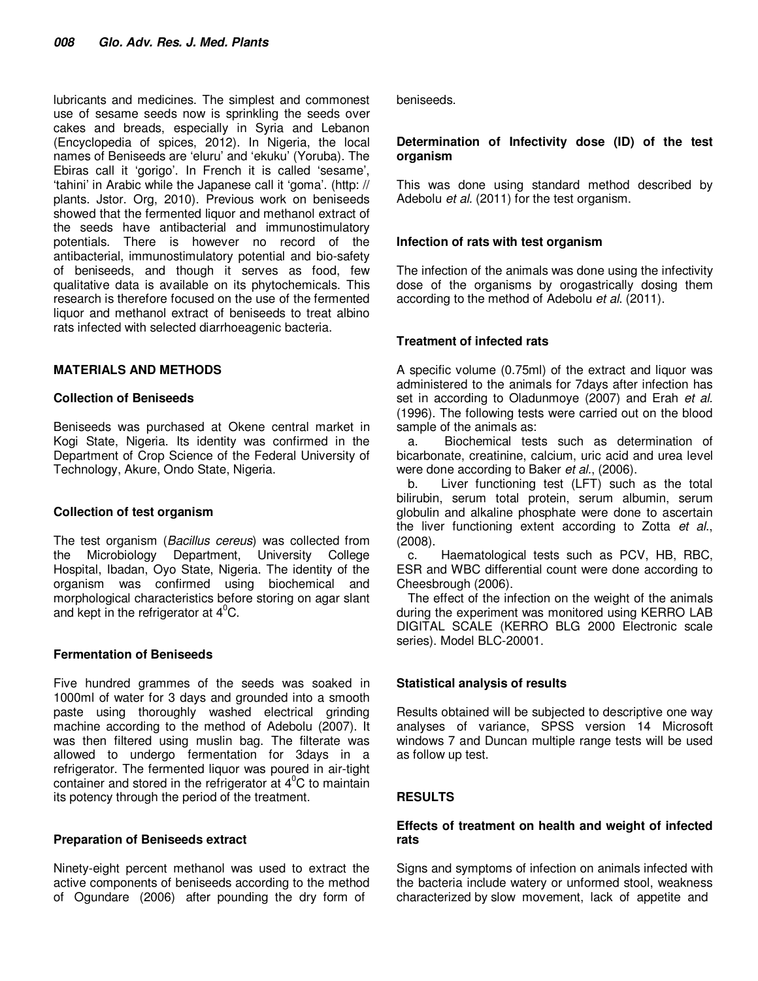lubricants and medicines. The simplest and commonest use of sesame seeds now is sprinkling the seeds over cakes and breads, especially in Syria and Lebanon (Encyclopedia of spices, 2012). In Nigeria, the local names of Beniseeds are 'eluru' and 'ekuku' (Yoruba). The Ebiras call it 'gorigo'. In French it is called 'sesame', 'tahini' in Arabic while the Japanese call it 'goma'. (http: // plants. Jstor. Org, 2010). Previous work on beniseeds showed that the fermented liquor and methanol extract of the seeds have antibacterial and immunostimulatory potentials. There is however no record of the antibacterial, immunostimulatory potential and bio-safety of beniseeds, and though it serves as food, few qualitative data is available on its phytochemicals. This research is therefore focused on the use of the fermented liquor and methanol extract of beniseeds to treat albino rats infected with selected diarrhoeagenic bacteria.

#### **MATERIALS AND METHODS**

#### **Collection of Beniseeds**

Beniseeds was purchased at Okene central market in Kogi State, Nigeria. Its identity was confirmed in the Department of Crop Science of the Federal University of Technology, Akure, Ondo State, Nigeria.

#### **Collection of test organism**

The test organism (*Bacillus cereus*) was collected from the Microbiology Department, University College Hospital, Ibadan, Oyo State, Nigeria. The identity of the organism was confirmed using biochemical and morphological characteristics before storing on agar slant and kept in the refrigerator at  $4^{\circ}$ C.

### **Fermentation of Beniseeds**

Five hundred grammes of the seeds was soaked in 1000ml of water for 3 days and grounded into a smooth paste using thoroughly washed electrical grinding machine according to the method of Adebolu (2007). It was then filtered using muslin bag. The filterate was allowed to undergo fermentation for 3days in a refrigerator. The fermented liquor was poured in air-tight container and stored in the refrigerator at  $4^{\circ}$ C to maintain its potency through the period of the treatment.

#### **Preparation of Beniseeds extract**

Ninety-eight percent methanol was used to extract the active components of beniseeds according to the method of Ogundare (2006) after pounding the dry form of

beniseeds.

#### **Determination of Infectivity dose (ID) of the test organism**

This was done using standard method described by Adebolu *et al.* (2011) for the test organism.

#### **Infection of rats with test organism**

The infection of the animals was done using the infectivity dose of the organisms by orogastrically dosing them according to the method of Adebolu *et al*. (2011).

### **Treatment of infected rats**

A specific volume (0.75ml) of the extract and liquor was administered to the animals for 7days after infection has set in according to Oladunmoye (2007) and Erah *et al.* (1996). The following tests were carried out on the blood sample of the animals as:

a. Biochemical tests such as determination of bicarbonate, creatinine, calcium, uric acid and urea level were done according to Baker *et al.*, (2006).

b. Liver functioning test (LFT) such as the total bilirubin, serum total protein, serum albumin, serum globulin and alkaline phosphate were done to ascertain the liver functioning extent according to Zotta *et al*., (2008).

c. Haematological tests such as PCV, HB, RBC, ESR and WBC differential count were done according to Cheesbrough (2006).

The effect of the infection on the weight of the animals during the experiment was monitored using KERRO LAB DIGITAL SCALE (KERRO BLG 2000 Electronic scale series). Model BLC-20001.

### **Statistical analysis of results**

Results obtained will be subjected to descriptive one way analyses of variance, SPSS version 14 Microsoft windows 7 and Duncan multiple range tests will be used as follow up test.

### **RESULTS**

#### **Effects of treatment on health and weight of infected rats**

Signs and symptoms of infection on animals infected with the bacteria include watery or unformed stool, weakness characterized by slow movement, lack of appetite and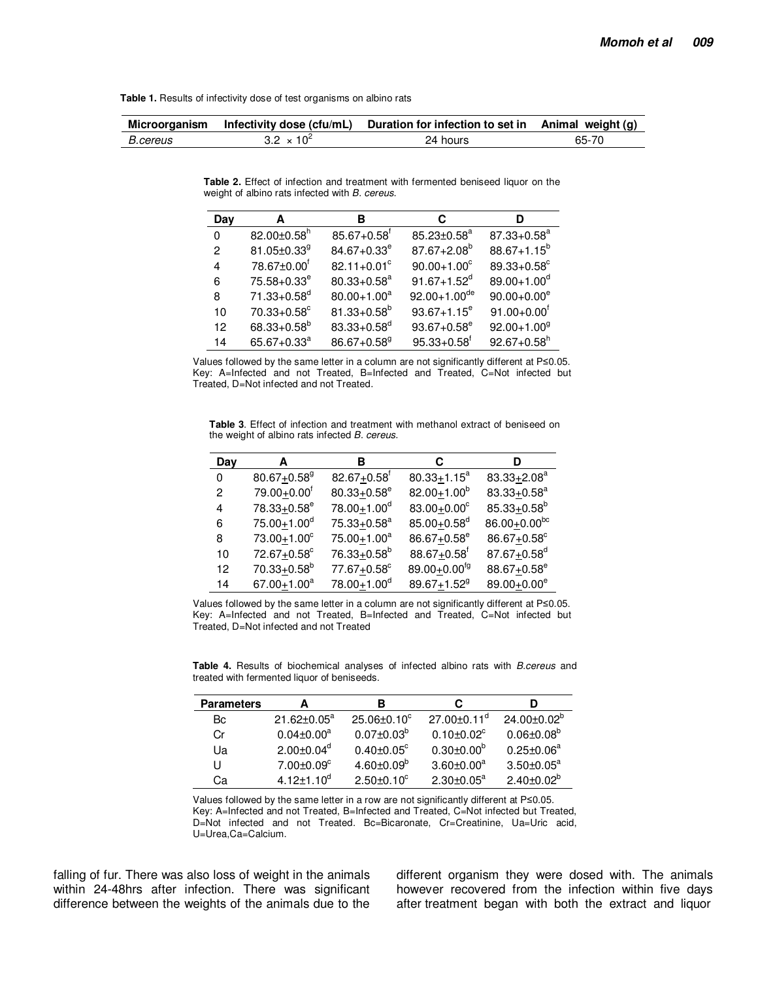Table 1. Results of infectivity dose of test organisms on albino rats

| Microorganism   |                     | Infectivity dose (cfu/mL) Duration for infection to set in Animal weight $(g)$ |       |  |
|-----------------|---------------------|--------------------------------------------------------------------------------|-------|--|
| <i>B.cereus</i> | $3.2 \times 10^{2}$ | 24 hours                                                                       | 65-70 |  |

Table 2. Effect of infection and treatment with fermented beniseed liquor on the weight of albino rats infected with B. cereus.

| Day      | А                             | в                           | С                            | D                           |
|----------|-------------------------------|-----------------------------|------------------------------|-----------------------------|
| $\Omega$ | $82.00 \pm 0.58$ <sup>h</sup> | $85.67 + 0.58$ <sup>r</sup> | $85.23 \pm 0.58^a$           | $87.33 + 0.58^a$            |
| 2        | $81.05 \pm 0.33$ <sup>g</sup> | $84.67 + 0.33^e$            | $87.67 + 2.08^{b}$           | $88.67 + 1.15^b$            |
| 4        | 78.67±0.00 <sup>f</sup>       | $82.11 + 0.01^{\circ}$      | $90.00 + 1.00^{\circ}$       | 89.33+0.58°                 |
| 6        | $75.58 + 0.33^e$              | $80.33 + 0.58^a$            | $91.67 + 1.52^d$             | $89.00 + 1.00^d$            |
| 8        | $71.33 + 0.58^{\circ}$        | $80.00 + 1.00^a$            | $92.00 + 1.00$ <sup>de</sup> | $90.00 + 0.00^e$            |
| 10       | $70.33 + 0.58^{\circ}$        | $81.33 + 0.58^b$            | $93.67 + 1.15^e$             | $91.00 + 0.00^{\dagger}$    |
| 12       | $68.33 + 0.58^b$              | $83.33 + 0.58^d$            | $93.67 + 0.58^e$             | $92.00 + 1.009$             |
| 14       | $65.67 + 0.33^a$              | $86.67 + 0.58$ <sup>g</sup> | $95.33 + 0.58$ <sup>f</sup>  | $92.67 + 0.58$ <sup>h</sup> |

Values followed by the same letter in a column are not significantly different at P≤0.05. Key: A=Infected and not Treated, B=Infected and Treated, C=Not infected but Treated, D=Not infected and not Treated.

Table 3. Effect of infection and treatment with methanol extract of beniseed on the weight of albino rats infected B. cereus.

| Day | А                           | в                           | С                              | D                           |
|-----|-----------------------------|-----------------------------|--------------------------------|-----------------------------|
| 0   | $80.67 + 0.58$ <sup>g</sup> | $82.67 + 0.58$ <sup>f</sup> | $80.33 + 1.15^a$               | $83.33 + 2.08^a$            |
| 2   | 79.00+0.00 <sup>f</sup>     | $80.33 + 0.58^e$            | $82.00 + 1.00^b$               | $83.33 + 0.58^a$            |
| 4   | 78.33+0.58 <sup>e</sup>     | $78.00 + 1.00^d$            | $83.00 + 0.00^c$               | $85.33 + 0.58^b$            |
| 6   | $75.00 + 1.00^d$            | $75.33 + 0.58^a$            | $85.00 + 0.58$ <sup>d</sup>    | 86.00+0.00bc                |
| 8   | $73.00 + 1.00^c$            | $75.00 + 1.00^a$            | $86.67 + 0.58^e$               | 86.67+0.58°                 |
| 10  | 72.67+0.58°                 | 76.33+0.58 <sup>b</sup>     | $88.67 + 0.58$ <sup>f</sup>    | $87.67 + 0.58$ <sup>d</sup> |
| 12  | $70.33 \pm 0.58^{\text{b}}$ | $77.67 + 0.58$ °            | 89.00 $\pm$ 0.00 <sup>fg</sup> | $88.67 + 0.58$ <sup>e</sup> |
| 14  | $67.00 + 1.00^a$            | 78.00+1.00 <sup>d</sup>     | $89.67 + 1.52$ <sup>g</sup>    | 89.00+0.00 <sup>e</sup>     |

Values followed by the same letter in a column are not significantly different at P<0.05. Key: A=Infected and not Treated, B=Infected and Treated, C=Not infected but Treated, D=Not infected and not Treated

Table 4. Results of biochemical analyses of infected albino rats with B.cereus and treated with fermented liquor of beniseeds.

| <b>Parameters</b> |                              | в                            | С                             |                    |
|-------------------|------------------------------|------------------------------|-------------------------------|--------------------|
| Bс                | $21.62 \pm 0.05^a$           | $25.06 \pm 0.10^{\circ}$     | $27.00 \pm 0.11$ <sup>d</sup> | $24.00 \pm 0.02^b$ |
| Cr                | $0.04 \pm 0.00$ <sup>a</sup> | $0.07 \pm 0.03^b$            | $0.10 \pm 0.02$ <sup>c</sup>  | $0.06 \pm 0.08^b$  |
| Ua                | $2.00 \pm 0.04$ <sup>d</sup> | $0.40 \pm 0.05$ <sup>c</sup> | $0.30 \pm 0.00^b$             | $0.25 \pm 0.06^a$  |
| U                 | $7.00 \pm 0.09$ <sup>c</sup> | $4.60 \pm 0.09^b$            | $3.60 \pm 0.00^a$             | $3.50 \pm 0.05^a$  |
| Cа                | $4.12 \pm 1.10^{d}$          | $2.50 \pm 0.10^{\circ}$      | $2.30 + 0.05^a$               | $2.40 \pm 0.02^b$  |

Values followed by the same letter in a row are not significantly different at P≤0.05. Key: A=Infected and not Treated, B=Infected and Treated, C=Not infected but Treated, D=Not infected and not Treated. Bc=Bicaronate, Cr=Creatinine, Ua=Uric acid, U=Urea,Ca=Calcium.

falling of fur. There was also loss of weight in the animals within 24-48hrs after infection. There was significant difference between the weights of the animals due to the different organism they were dosed with. The animals however recovered from the infection within five days after treatment began with both the extract and liquor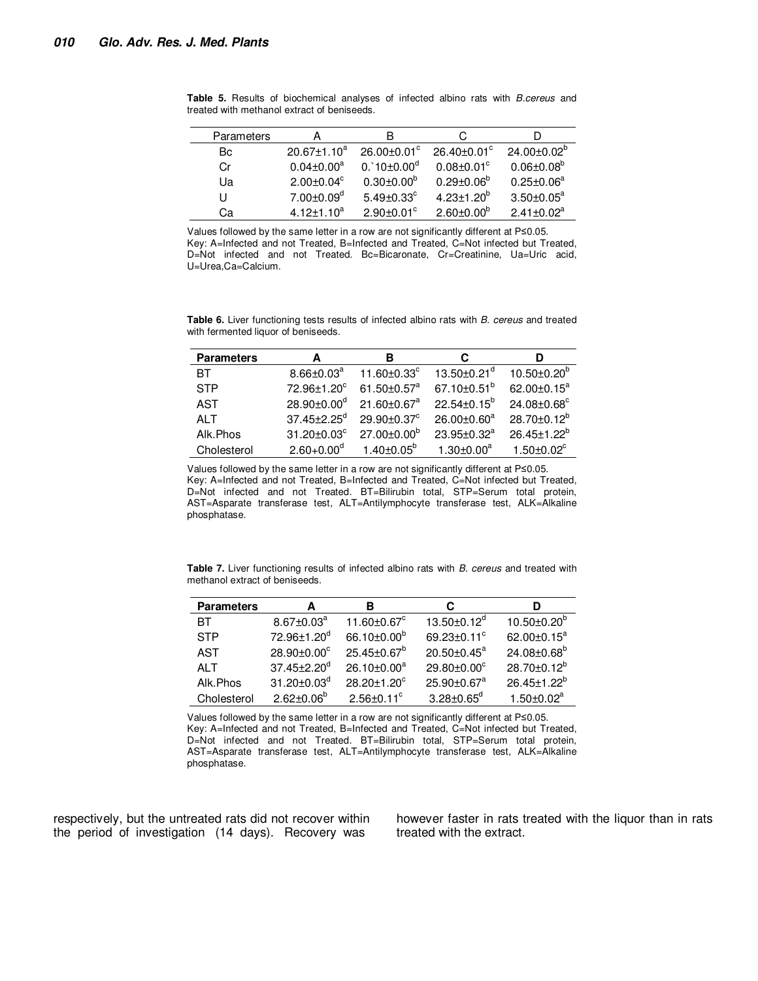| Parameters | А                            | в                            |                               |                          |
|------------|------------------------------|------------------------------|-------------------------------|--------------------------|
| Bc         | $20.67 \pm 1.10^a$           | $26.00 \pm 0.01$ °           | $26.40 \pm 0.01$ <sup>c</sup> | $24.00 \pm 0.02^{\circ}$ |
| Cr         | $0.04 \pm 0.00^a$            | $0.10 \pm 0.00$ <sup>d</sup> | $0.08 + 0.01^{\circ}$         | $0.06 \pm 0.08^b$        |
| Ua         | $2.00 \pm 0.04^c$            | $0.30 \pm 0.00^{\circ}$      | $0.29 \pm 0.06^{\circ}$       | $0.25 \pm 0.06^a$        |
| U          | $7.00 \pm 0.09^{\mathsf{d}}$ | $5.49 \pm 0.33$ °            | $4.23 \pm 1.20^b$             | $3.50 \pm 0.05^a$        |
| Cа         | $4.12 \pm 1.10^a$            | $2.90 + 0.01$ <sup>c</sup>   | $2.60 \pm 0.00^6$             | $2.41 + 0.02a$           |

**Table 5.** Results of biochemical analyses of infected albino rats with *B.cereus* and treated with methanol extract of beniseeds.

Values followed by the same letter in a row are not significantly different at P≤0.05. Key: A=Infected and not Treated, B=Infected and Treated, C=Not infected but Treated, D=Not infected and not Treated. Bc=Bicaronate, Cr=Creatinine, Ua=Uric acid, U=Urea,Ca=Calcium.

**Table 6.** Liver functioning tests results of infected albino rats with *B. cereus* and treated with fermented liquor of beniseeds.

| <b>Parameters</b> | А                             | в                                | С                             |                              |
|-------------------|-------------------------------|----------------------------------|-------------------------------|------------------------------|
| ВT                | $8.66 \pm 0.03^a$             | 11.60 $\pm$ 0.33 $\textdegree$   | $13.50 \pm 0.21$ <sup>d</sup> | $10.50 \pm 0.20^b$           |
| <b>STP</b>        | 72.96±1.20°                   | 61.50 $\pm$ 0.57 $\mathrm{^{a}}$ | 67.10 $\pm$ 0.51 $^{\circ}$   | 62.00 $\pm$ 0.15 $^{\rm a}$  |
| <b>AST</b>        | $28.90 \pm 0.00$ <sup>d</sup> | $21.60 \pm 0.67$ <sup>a</sup>    | $22.54 \pm 0.15^{\circ}$      | 24.08±0.68°                  |
| AI T              | $37.45 \pm 2.25$ <sup>d</sup> | $29.90 + 0.37^{\circ}$           | $26.00 \pm 0.60^a$            | $28.70 \pm 0.12^b$           |
| Alk.Phos          | $31.20 \pm 0.03$ °            | $27.00 \pm 0.00^b$               | $23.95 \pm 0.32^a$            | $26.45 \pm 1.22^b$           |
| Cholesterol       | $2.60 + 0.00^d$               | $1.40 \pm 0.05^{\circ}$          | $1.30 + 0.00^a$               | $1.50 \pm 0.02$ <sup>c</sup> |

Values followed by the same letter in a row are not significantly different at P≤0.05. Key: A=Infected and not Treated, B=Infected and Treated, C=Not infected but Treated, D=Not infected and not Treated. BT=Bilirubin total, STP=Serum total protein, AST=Asparate transferase test, ALT=Antilymphocyte transferase test, ALK=Alkaline phosphatase.

**Table 7.** Liver functioning results of infected albino rats with *B. cereus* and treated with methanol extract of beniseeds.

| <b>Parameters</b> | А                             | в                                | С                             | D                             |
|-------------------|-------------------------------|----------------------------------|-------------------------------|-------------------------------|
| ВT                | $8.67 \pm 0.03^a$             | 11.60 $\pm$ 0.67 $\rm{^{\circ}}$ | 13.50 $\pm$ 0.12 <sup>d</sup> | $10.50 \pm 0.20^{\circ}$      |
| <b>STP</b>        | 72.96±1.20 <sup>d</sup>       | 66.10 $\pm$ 0.00 <sup>b</sup>    | 69.23 $\pm$ 0.11 $\degree$    | 62.00 $\pm$ 0.15 $^{\rm a}$   |
| AST               | $28.90 \pm 0.00^{\circ}$      | $25.45 \pm 0.67^b$               | $20.50 \pm 0.45^{\text{a}}$   | $24.08 \pm 0.68$ <sup>b</sup> |
| AI T              | $37.45 \pm 2.20$ <sup>d</sup> | $26.10 \pm 0.00^a$               | $29.80 \pm 0.00$ <sup>c</sup> | $28.70 \pm 0.12^b$            |
| Alk.Phos          | $31.20 \pm 0.03^{\circ}$      | $28.20 \pm 1.20^{\circ}$         | $25.90 \pm 0.67$ <sup>a</sup> | $26.45 \pm 1.22^b$            |
| Cholesterol       | $2.62 \pm 0.06^{\circ}$       | $2.56 \pm 0.11$ <sup>c</sup>     | $3.28 \pm 0.65^d$             | $1.50 \pm 0.02^a$             |

Values followed by the same letter in a row are not significantly different at P≤0.05. Key: A=Infected and not Treated, B=Infected and Treated, C=Not infected but Treated, D=Not infected and not Treated. BT=Bilirubin total, STP=Serum total protein, AST=Asparate transferase test, ALT=Antilymphocyte transferase test, ALK=Alkaline phosphatase.

respectively, but the untreated rats did not recover within the period of investigation (14 days)*.* Recovery was

however faster in rats treated with the liquor than in rats treated with the extract.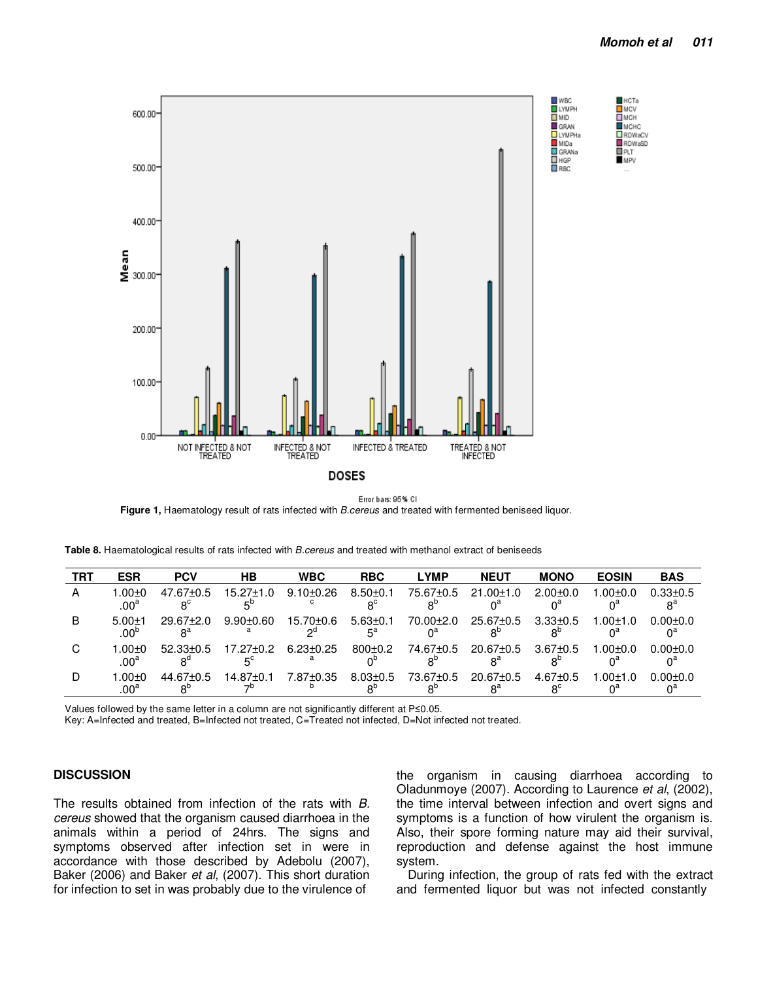

#### Error bars: 95% CI

**Figure 1,** Haematology result of rats infected with *B.cereus* and treated with fermented beniseed liquor.

**Table 8.** Haematological results of rats infected with *B.cereus* and treated with methanol extract of beniseeds

| <b>TRT</b> | <b>ESR</b>                       | <b>PCV</b>               | <b>HB</b>       | <b>WBC</b>      | <b>RBC</b>                    | <b>LYMP</b>            | <b>NEUT</b>                       | <b>MONO</b>                   | <b>EOSIN</b>   | <b>BAS</b>     |
|------------|----------------------------------|--------------------------|-----------------|-----------------|-------------------------------|------------------------|-----------------------------------|-------------------------------|----------------|----------------|
| А          | 1.00 $\pm$ 0<br>.00 <sup>a</sup> | $47.67 \pm 0.5$          | $15.27 \pm 1.0$ | $9.10 \pm 0.26$ | $8.50 + 0.1$                  | 75.67±0.5              | 21.00±1.0                         | $2.00+0.0$                    | $1.00 + 0.0$   | $0.33 \pm 0.5$ |
| B          | $5.00+1$<br>$.00^{\circ}$        | $29.67 \pm 2.0$<br>$R^d$ | $9.90 \pm 0.60$ | 15.70±0.6<br>∩Ω | $5.63 \pm 0.1$<br>$5^{\rm a}$ | $70.00 \pm 2.0$        | $25.67 \pm 0.5$<br>$R^{\text{D}}$ | $3.33 \pm 0.5$                | $1.00 \pm 1.0$ | $0.00 \pm 0.0$ |
| C          | 1.00±0<br>.00 <sup>a</sup>       | $52.33 \pm 0.5$          | $17.27 \pm 0.2$ | $6.23 \pm 0.25$ | $800+0.2$                     | 74.67±0.5              | $20.67 \pm 0.5$<br>$R^a$          | $3.67 \pm 0.5$                | $1.00 + 0.0$   | $0.00 \pm 0.0$ |
|            | .00±0<br>.00 <sup>a</sup>        | $44.67 + 0.5$            | $14.87 \pm 0.1$ | 7.87±0.35       | $8.03 \pm 0.5$                | 73.67 <sup>+</sup> 0.5 | $20.67 \pm 0.5$<br>$8^{\circ}$    | $4.67 \pm 0.5$<br>$8^{\circ}$ | $1.00 \pm 1.0$ | $0.00 + 0.0$   |

Values followed by the same letter in a column are not significantly different at P≤0.05.

Key: A=Infected and treated, B=Infected not treated, C=Treated not infected, D=Not infected not treated.

#### **DISCUSSION**

The results obtained from infection of the rats with *B. cereus* showed that the organism caused diarrhoea in the animals within a period of 24hrs. The signs and symptoms observed after infection set in were in accordance with those described by Adebolu (2007), Baker (2006) and Baker *et al*, (2007). This short duration for infection to set in was probably due to the virulence of

the organism in causing diarrhoea according to Oladunmoye (2007). According to Laurence *et al*, (2002), the time interval between infection and overt signs and symptoms is a function of how virulent the organism is. Also, their spore forming nature may aid their survival, reproduction and defense against the host immune system.

During infection, the group of rats fed with the extract and fermented liquor but was not infected constantly